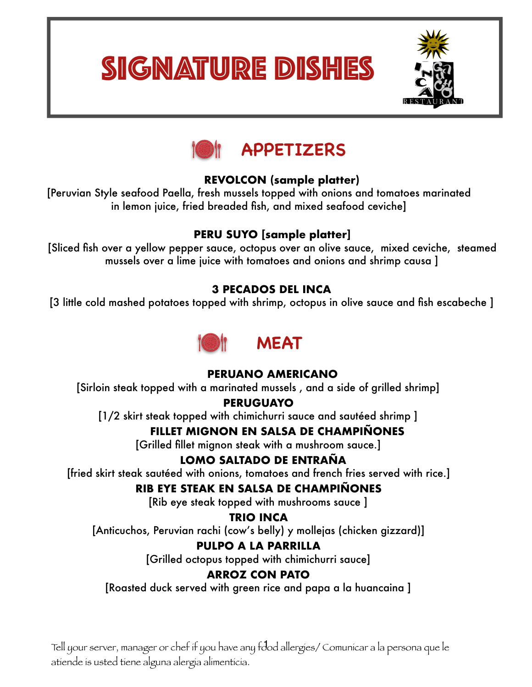# SIGNATURE DISHES





## **REVOLCON (sample platter)**

[Peruvian Style seafood Paella, fresh mussels topped with onions and tomatoes marinated in lemon juice, fried breaded fish, and mixed seafood ceviche]

## **PERU SUYO [sample platter]**

[Sliced fish over a yellow pepper sauce, octopus over an olive sauce, mixed ceviche, steamed mussels over a lime juice with tomatoes and onions and shrimp causa ]

### **3 PECADOS DEL INCA**

[3 little cold mashed potatoes topped with shrimp, octopus in olive sauce and fish escabeche ]



## **PERUANO AMERICANO**

[Sirloin steak topped with a marinated mussels , and a side of grilled shrimp]

## **PERUGUAYO**

[1/2 skirt steak topped with chimichurri sauce and sautéed shrimp]

# **FILLET MIGNON EN SALSA DE CHAMPIÑONES**

[Grilled fillet mignon steak with a mushroom sauce.]

# **LOMO SALTADO DE ENTRAÑA**

[fried skirt steak sautéed with onions, tomatoes and french fries served with rice.]

# **RIB EYE STEAK EN SALSA DE CHAMPIÑONES**

[Rib eye steak topped with mushrooms sauce ]

## **TRIO INCA**

[Anticuchos, Peruvian rachi (cow's belly) y mollejas (chicken gizzard)]

# **PULPO A LA PARRILLA**

[Grilled octopus topped with chimichurri sauce]

# **ARROZ CON PATO**

[Roasted duck served with green rice and papa a la huancaina ]

Tell your server, manager or chef if you have any fdod allergies/ Comunicar a la persona que le atiende is usted tiene alguna alergia alimenticia.